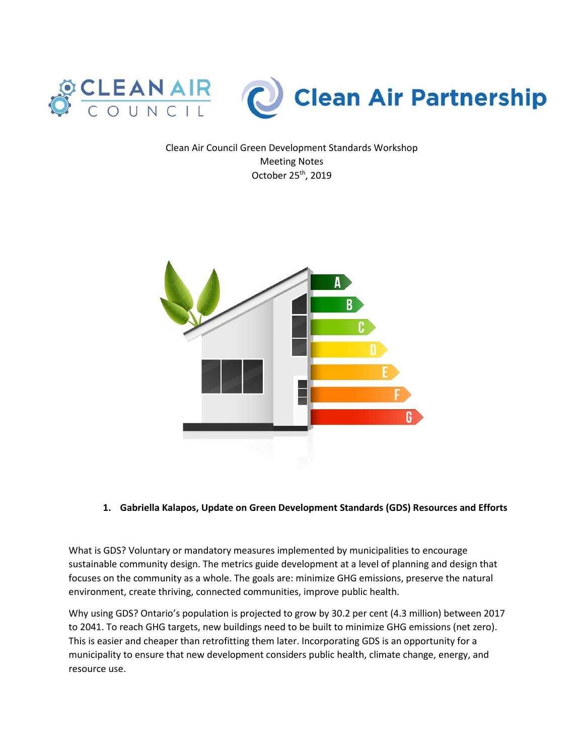

Clean Air Council Green Development Standards Workshop Meeting Notes October 25th, 2019



#### **1. Gabriella Kalapos, Update on Green Development Standards (GDS) Resources and Efforts**

What is GDS? Voluntary or mandatory measures implemented by municipalities to encourage sustainable community design. The metrics guide development at a level of planning and design that focuses on the community as a whole. The goals are: minimize GHG emissions, preserve the natural environment, create thriving, connected communities, improve public health.

Why using GDS? Ontario's population is projected to grow by 30.2 per cent (4.3 million) between 2017 to 2041. To reach GHG targets, new buildings need to be built to minimize GHG emissions (net zero). This is easier and cheaper than retrofitting them later. Incorporating GDS is an opportunity for a municipality to ensure that new development considers public health, climate change, energy, and resource use.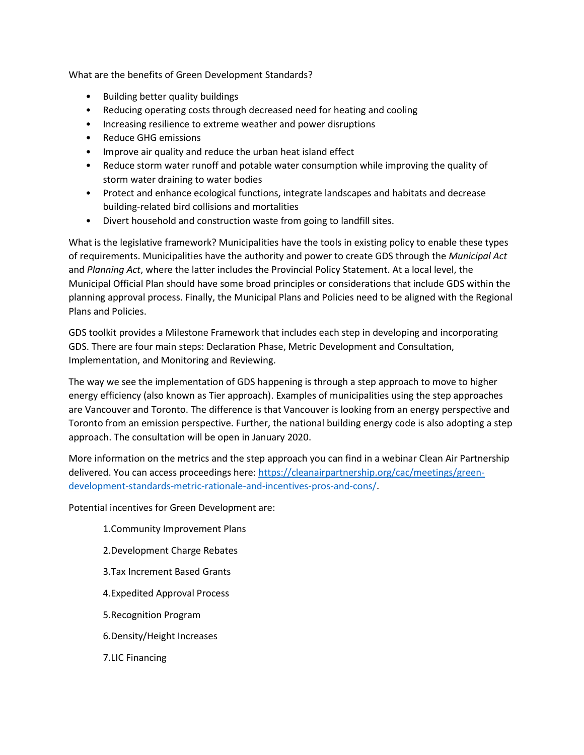What are the benefits of Green Development Standards?

- Building better quality buildings
- Reducing operating costs through decreased need for heating and cooling
- Increasing resilience to extreme weather and power disruptions
- Reduce GHG emissions
- Improve air quality and reduce the urban heat island effect
- Reduce storm water runoff and potable water consumption while improving the quality of storm water draining to water bodies
- Protect and enhance ecological functions, integrate landscapes and habitats and decrease building-related bird collisions and mortalities
- Divert household and construction waste from going to landfill sites.

What is the legislative framework? Municipalities have the tools in existing policy to enable these types of requirements. Municipalities have the authority and power to create GDS through the *Municipal Act* and *Planning Act*, where the latter includes the Provincial Policy Statement. At a local level, the Municipal Official Plan should have some broad principles or considerations that include GDS within the planning approval process. Finally, the Municipal Plans and Policies need to be aligned with the Regional Plans and Policies.

GDS toolkit provides a Milestone Framework that includes each step in developing and incorporating GDS. There are four main steps: Declaration Phase, Metric Development and Consultation, Implementation, and Monitoring and Reviewing.

The way we see the implementation of GDS happening is through a step approach to move to higher energy efficiency (also known as Tier approach). Examples of municipalities using the step approaches are Vancouver and Toronto. The difference is that Vancouver is looking from an energy perspective and Toronto from an emission perspective. Further, the national building energy code is also adopting a step approach. The consultation will be open in January 2020.

More information on the metrics and the step approach you can find in a webinar Clean Air Partnership delivered. You can access proceedings here: [https://cleanairpartnership.org/cac/meetings/green](https://cleanairpartnership.org/cac/meetings/green-development-standards-metric-rationale-and-incentives-pros-and-cons/)[development-standards-metric-rationale-and-incentives-pros-and-cons/.](https://cleanairpartnership.org/cac/meetings/green-development-standards-metric-rationale-and-incentives-pros-and-cons/)

Potential incentives for Green Development are:

- 1.Community Improvement Plans
- 2.Development Charge Rebates
- 3.Tax Increment Based Grants
- 4.Expedited Approval Process
- 5.Recognition Program
- 6.Density/Height Increases
- 7.LIC Financing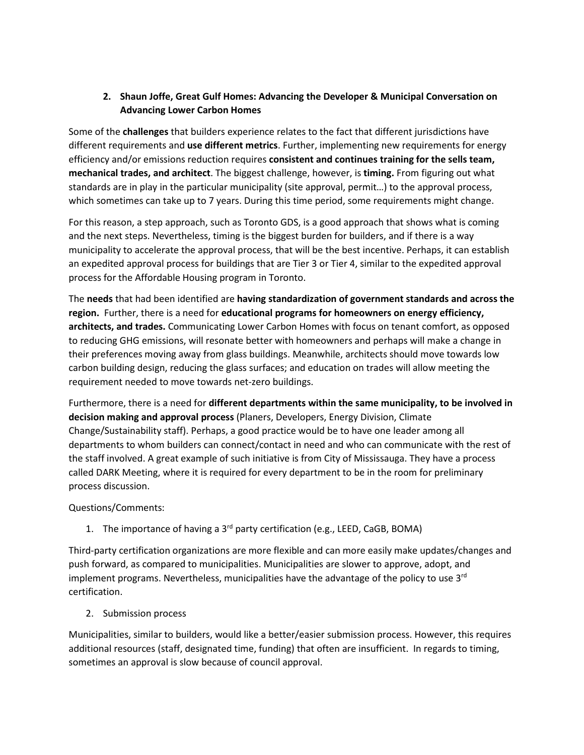# **2. Shaun Joffe, Great Gulf Homes: Advancing the Developer & Municipal Conversation on Advancing Lower Carbon Homes**

Some of the **challenges** that builders experience relates to the fact that different jurisdictions have different requirements and **use different metrics**. Further, implementing new requirements for energy efficiency and/or emissions reduction requires **consistent and continues training for the sells team, mechanical trades, and architect**. The biggest challenge, however, is **timing.** From figuring out what standards are in play in the particular municipality (site approval, permit…) to the approval process, which sometimes can take up to 7 years. During this time period, some requirements might change.

For this reason, a step approach, such as Toronto GDS, is a good approach that shows what is coming and the next steps. Nevertheless, timing is the biggest burden for builders, and if there is a way municipality to accelerate the approval process, that will be the best incentive. Perhaps, it can establish an expedited approval process for buildings that are Tier 3 or Tier 4, similar to the expedited approval process for the Affordable Housing program in Toronto.

The **needs** that had been identified are **having standardization of government standards and across the region.** Further, there is a need for **educational programs for homeowners on energy efficiency, architects, and trades.** Communicating Lower Carbon Homes with focus on tenant comfort, as opposed to reducing GHG emissions, will resonate better with homeowners and perhaps will make a change in their preferences moving away from glass buildings. Meanwhile, architects should move towards low carbon building design, reducing the glass surfaces; and education on trades will allow meeting the requirement needed to move towards net-zero buildings.

Furthermore, there is a need for **different departments within the same municipality, to be involved in decision making and approval process** (Planers, Developers, Energy Division, Climate Change/Sustainability staff). Perhaps, a good practice would be to have one leader among all departments to whom builders can connect/contact in need and who can communicate with the rest of the staff involved. A great example of such initiative is from City of Mississauga. They have a process called DARK Meeting, where it is required for every department to be in the room for preliminary process discussion.

Questions/Comments:

1. The importance of having a 3<sup>rd</sup> party certification (e.g., LEED, CaGB, BOMA)

Third-party certification organizations are more flexible and can more easily make updates/changes and push forward, as compared to municipalities. Municipalities are slower to approve, adopt, and implement programs. Nevertheless, municipalities have the advantage of the policy to use  $3<sup>rd</sup>$ certification.

2. Submission process

Municipalities, similar to builders, would like a better/easier submission process. However, this requires additional resources (staff, designated time, funding) that often are insufficient. In regards to timing, sometimes an approval is slow because of council approval.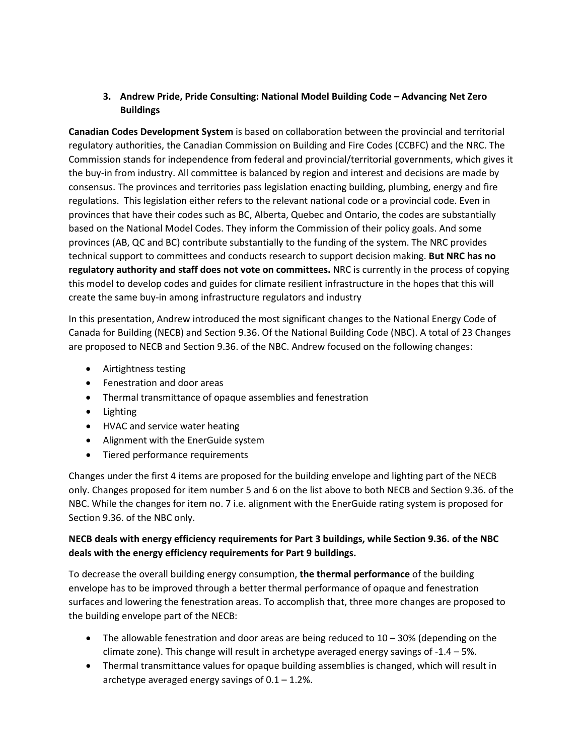# **3. Andrew Pride, Pride Consulting: National Model Building Code – Advancing Net Zero Buildings**

**Canadian Codes Development System** is based on collaboration between the provincial and territorial regulatory authorities, the Canadian Commission on Building and Fire Codes (CCBFC) and the NRC. The Commission stands for independence from federal and provincial/territorial governments, which gives it the buy-in from industry. All committee is balanced by region and interest and decisions are made by consensus. The provinces and territories pass legislation enacting building, plumbing, energy and fire regulations. This legislation either refers to the relevant national code or a provincial code. Even in provinces that have their codes such as BC, Alberta, Quebec and Ontario, the codes are substantially based on the National Model Codes. They inform the Commission of their policy goals. And some provinces (AB, QC and BC) contribute substantially to the funding of the system. The NRC provides technical support to committees and conducts research to support decision making. **But NRC has no regulatory authority and staff does not vote on committees.** NRC is currently in the process of copying this model to develop codes and guides for climate resilient infrastructure in the hopes that this will create the same buy-in among infrastructure regulators and industry

In this presentation, Andrew introduced the most significant changes to the National Energy Code of Canada for Building (NECB) and Section 9.36. Of the National Building Code (NBC). A total of 23 Changes are proposed to NECB and Section 9.36. of the NBC. Andrew focused on the following changes:

- Airtightness testing
- Fenestration and door areas
- Thermal transmittance of opaque assemblies and fenestration
- Lighting
- HVAC and service water heating
- Alignment with the EnerGuide system
- Tiered performance requirements

Changes under the first 4 items are proposed for the building envelope and lighting part of the NECB only. Changes proposed for item number 5 and 6 on the list above to both NECB and Section 9.36. of the NBC. While the changes for item no. 7 i.e. alignment with the EnerGuide rating system is proposed for Section 9.36. of the NBC only.

# **NECB deals with energy efficiency requirements for Part 3 buildings, while Section 9.36. of the NBC deals with the energy efficiency requirements for Part 9 buildings.**

To decrease the overall building energy consumption, **the thermal performance** of the building envelope has to be improved through a better thermal performance of opaque and fenestration surfaces and lowering the fenestration areas. To accomplish that, three more changes are proposed to the building envelope part of the NECB:

- The allowable fenestration and door areas are being reduced to 10 30% (depending on the climate zone). This change will result in archetype averaged energy savings of -1.4 – 5%.
- Thermal transmittance values for opaque building assemblies is changed, which will result in archetype averaged energy savings of  $0.1 - 1.2$ %.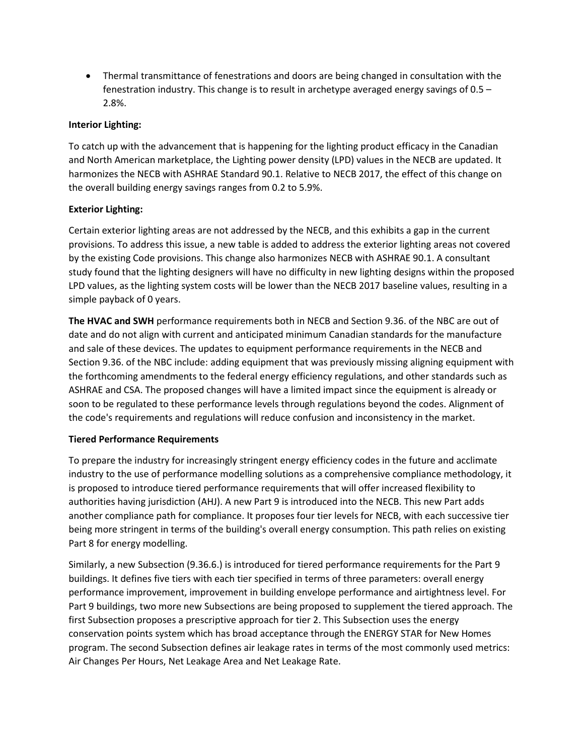• Thermal transmittance of fenestrations and doors are being changed in consultation with the fenestration industry. This change is to result in archetype averaged energy savings of 0.5 – 2.8%.

## **Interior Lighting:**

To catch up with the advancement that is happening for the lighting product efficacy in the Canadian and North American marketplace, the Lighting power density (LPD) values in the NECB are updated. It harmonizes the NECB with ASHRAE Standard 90.1. Relative to NECB 2017, the effect of this change on the overall building energy savings ranges from 0.2 to 5.9%.

## **Exterior Lighting:**

Certain exterior lighting areas are not addressed by the NECB, and this exhibits a gap in the current provisions. To address this issue, a new table is added to address the exterior lighting areas not covered by the existing Code provisions. This change also harmonizes NECB with ASHRAE 90.1. A consultant study found that the lighting designers will have no difficulty in new lighting designs within the proposed LPD values, as the lighting system costs will be lower than the NECB 2017 baseline values, resulting in a simple payback of 0 years.

**The HVAC and SWH** performance requirements both in NECB and Section 9.36. of the NBC are out of date and do not align with current and anticipated minimum Canadian standards for the manufacture and sale of these devices. The updates to equipment performance requirements in the NECB and Section 9.36. of the NBC include: adding equipment that was previously missing aligning equipment with the forthcoming amendments to the federal energy efficiency regulations, and other standards such as ASHRAE and CSA. The proposed changes will have a limited impact since the equipment is already or soon to be regulated to these performance levels through regulations beyond the codes. Alignment of the code's requirements and regulations will reduce confusion and inconsistency in the market.

#### **Tiered Performance Requirements**

To prepare the industry for increasingly stringent energy efficiency codes in the future and acclimate industry to the use of performance modelling solutions as a comprehensive compliance methodology, it is proposed to introduce tiered performance requirements that will offer increased flexibility to authorities having jurisdiction (AHJ). A new Part 9 is introduced into the NECB. This new Part adds another compliance path for compliance. It proposes four tier levels for NECB, with each successive tier being more stringent in terms of the building's overall energy consumption. This path relies on existing Part 8 for energy modelling.

Similarly, a new Subsection (9.36.6.) is introduced for tiered performance requirements for the Part 9 buildings. It defines five tiers with each tier specified in terms of three parameters: overall energy performance improvement, improvement in building envelope performance and airtightness level. For Part 9 buildings, two more new Subsections are being proposed to supplement the tiered approach. The first Subsection proposes a prescriptive approach for tier 2. This Subsection uses the energy conservation points system which has broad acceptance through the ENERGY STAR for New Homes program. The second Subsection defines air leakage rates in terms of the most commonly used metrics: Air Changes Per Hours, Net Leakage Area and Net Leakage Rate.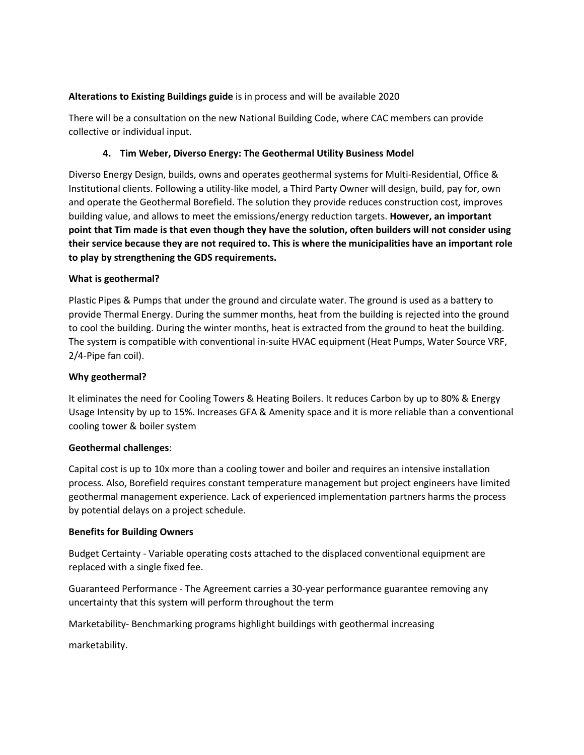## **Alterations to Existing Buildings guide** is in process and will be available 2020

There will be a consultation on the new National Building Code, where CAC members can provide collective or individual input.

## **4. Tim Weber, Diverso Energy: The Geothermal Utility Business Model**

Diverso Energy Design, builds, owns and operates geothermal systems for Multi-Residential, Office & Institutional clients. Following a utility-like model, a Third Party Owner will design, build, pay for, own and operate the Geothermal Borefield. The solution they provide reduces construction cost, improves building value, and allows to meet the emissions/energy reduction targets. **However, an important point that Tim made is that even though they have the solution, often builders will not consider using their service because they are not required to. This is where the municipalities have an important role to play by strengthening the GDS requirements.** 

## **What is geothermal?**

Plastic Pipes & Pumps that under the ground and circulate water. The ground is used as a battery to provide Thermal Energy. During the summer months, heat from the building is rejected into the ground to cool the building. During the winter months, heat is extracted from the ground to heat the building. The system is compatible with conventional in-suite HVAC equipment (Heat Pumps, Water Source VRF, 2/4-Pipe fan coil).

## **Why geothermal?**

It eliminates the need for Cooling Towers & Heating Boilers. It reduces Carbon by up to 80% & Energy Usage Intensity by up to 15%. Increases GFA & Amenity space and it is more reliable than a conventional cooling tower & boiler system

#### **Geothermal challenges**:

Capital cost is up to 10x more than a cooling tower and boiler and requires an intensive installation process. Also, Borefield requires constant temperature management but project engineers have limited geothermal management experience. Lack of experienced implementation partners harms the process by potential delays on a project schedule.

#### **Benefits for Building Owners**

Budget Certainty - Variable operating costs attached to the displaced conventional equipment are replaced with a single fixed fee.

Guaranteed Performance - The Agreement carries a 30-year performance guarantee removing any uncertainty that this system will perform throughout the term

Marketability- Benchmarking programs highlight buildings with geothermal increasing

marketability.